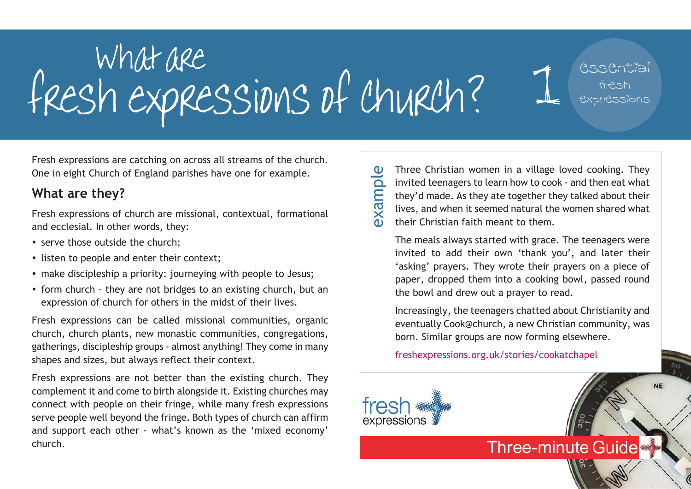# What are<br>fresh expressions of church? 1 essential fresh expressions

Fresh expressions are catching on across all streams of the church. One in eight Church of England parishes have one for example.

### **What are they?**

Fresh expressions of church are missional, contextual, formational and ecclesial. In other words, they:

- serve those outside the church;
- listen to people and enter their context;
- make discipleship a priority: journeying with people to Jesus;
- form church they are not bridges to an existing church, but an expression of church for others in the midst of their lives.

Fresh expressions can be called missional communities, organic church, church plants, new monastic communities, congregations, gatherings, discipleship groups - almost anything! They come in many shapes and sizes, but always reflect their context.

Fresh expressions are not better than the existing church. They complement it and come to birth alongside it. Existing churches may connect with people on their fringe, while many fresh expressions serve people well beyond the fringe. Both types of church can affirm and support each other - what's known as the 'mixed economy' church.

Three Christian women in a village loved cooking. They invited teenagers to learn how to cook - and then eat what they'd made. As they ate together they talked about their lives, and when it seemed natural the women shared what their Christian faith meant to them. example

The meals always started with grace. The teenagers were invited to add their own 'thank you', and later their 'asking' prayers. They wrote their prayers on a piece of paper, dropped them into a cooking bowl, passed round the bowl and drew out a prayer to read.

Increasingly, the teenagers chatted about Christianity and eventually Cook@church, a new Christian community, was born. Similar groups are now forming elsewhere.

**Three-minute Guide** 

**NE** 

freshexpressions.org.uk/stories/cookatchapel